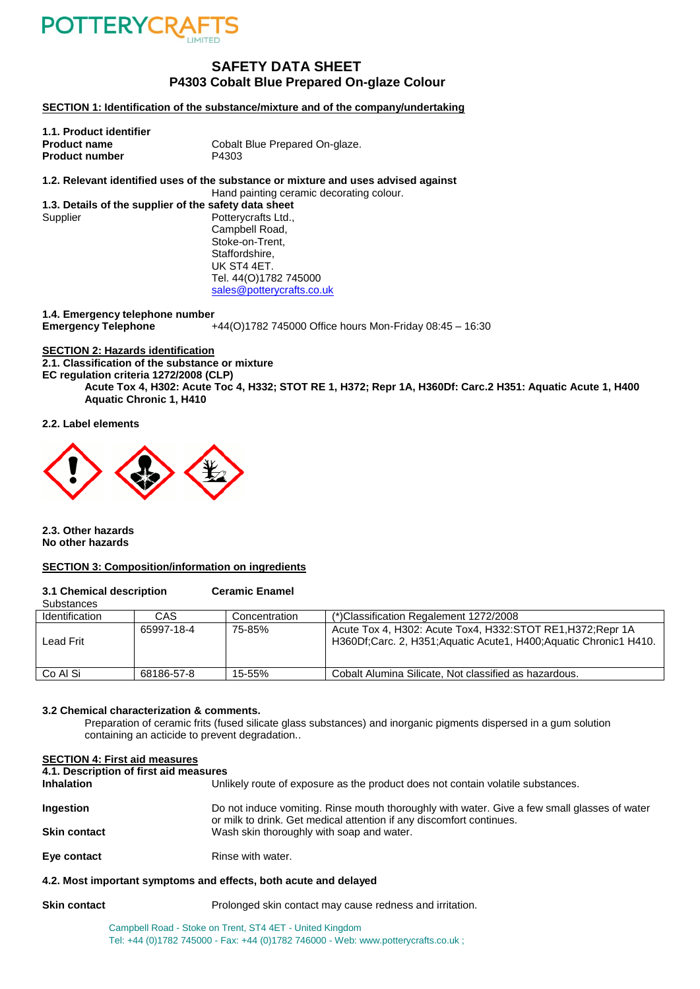

# **SAFETY DATA SHEET P4303 Cobalt Blue Prepared On-glaze Colour**

**SECTION 1: Identification of the substance/mixture and of the company/undertaking**

| Cobalt Blue Prepared On-glaze. |
|--------------------------------|
| P4303                          |
|                                |

**1.2. Relevant identified uses of the substance or mixture and uses advised against** Hand painting ceramic decorating colour.

**1.3. Details of the supplier of the safety data sheet** Supplier Potterycrafts Ltd., Campbell Road, Stoke-on-Trent, Staffordshire, UK ST4 4ET. Tel. 44(O)1782 745000 [sales@potterycrafts.co.uk](mailto:sales@potterycrafts.co.uk)

**1.4. Emergency telephone number Emergency Telephone** +44(O)1782 745000 Office hours Mon-Friday 08:45 – 16:30

# **SECTION 2: Hazards identification**

**2.1. Classification of the substance or mixture**

**EC regulation criteria 1272/2008 (CLP)**

**Acute Tox 4, H302: Acute Toc 4, H332; STOT RE 1, H372; Repr 1A, H360Df: Carc.2 H351: Aquatic Acute 1, H400 Aquatic Chronic 1, H410**

#### **2.2. Label elements**



**2.3. Other hazards No other hazards**

#### **SECTION 3: Composition/information on ingredients**

#### **3.1 Chemical description Ceramic Enamel**

| <b>Substances</b>     |            |               |                                                                                                                                 |
|-----------------------|------------|---------------|---------------------------------------------------------------------------------------------------------------------------------|
| <b>Identification</b> | CAS        | Concentration | (*)Classification Regalement 1272/2008                                                                                          |
| Lead Frit             | 65997-18-4 | 75-85%        | Acute Tox 4, H302: Acute Tox4, H332:STOT RE1, H372; Repr 1A<br>H360Df;Carc. 2, H351;Aquatic Acute1, H400;Aquatic Chronic1 H410. |
| Co Al Si              | 68186-57-8 | 15-55%        | Cobalt Alumina Silicate. Not classified as hazardous.                                                                           |

#### **3.2 Chemical characterization & comments.**

Preparation of ceramic frits (fused silicate glass substances) and inorganic pigments dispersed in a gum solution containing an acticide to prevent degradation..

# **SECTION 4: First aid measures**

**4.1. Description of first aid measures**

| <b>Inhalation</b>   | Unlikely route of exposure as the product does not contain volatile substances.                                                                                      |
|---------------------|----------------------------------------------------------------------------------------------------------------------------------------------------------------------|
| Ingestion           | Do not induce vomiting. Rinse mouth thoroughly with water. Give a few small glasses of water<br>or milk to drink. Get medical attention if any discomfort continues. |
| <b>Skin contact</b> | Wash skin thoroughly with soap and water.                                                                                                                            |
| Eye contact         | Rinse with water.                                                                                                                                                    |

# **4.2. Most important symptoms and effects, both acute and delayed**

**Skin contact Prolonged skin contact may cause redness and irritation.** 

Campbell Road - Stoke on Trent, ST4 4ET - United Kingdom Tel: +44 (0)1782 745000 - Fax: +44 (0)1782 746000 - Web: www.potterycrafts.co.uk ;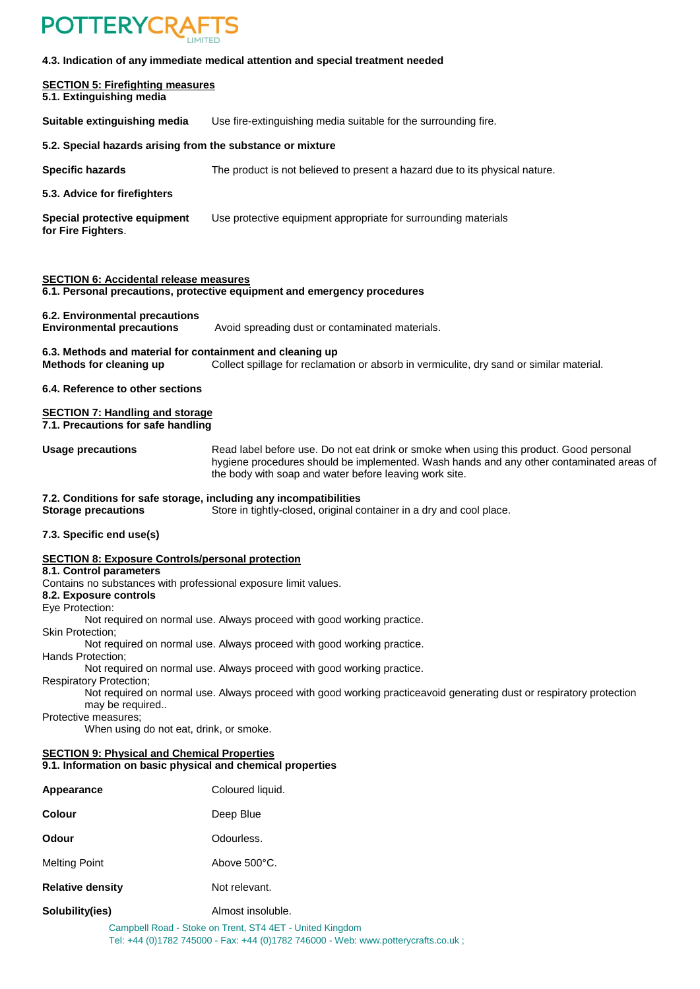

## **4.3. Indication of any immediate medical attention and special treatment needed**

#### **SECTION 5: Firefighting measures 5.1. Extinguishing media**

**Suitable extinguishing media** Use fire-extinguishing media suitable for the surrounding fire.

## **5.2. Special hazards arising from the substance or mixture**

**Specific hazards** The product is not believed to present a hazard due to its physical nature.

# **5.3. Advice for firefighters**

**Special protective equipment** Use protective equipment appropriate for surrounding materials **for Fire Fighters**.

#### **SECTION 6: Accidental release measures**

**6.1. Personal precautions, protective equipment and emergency procedures**

#### **6.2. Environmental precautions**

**Environmental precautions** Avoid spreading dust or contaminated materials.

# **6.3. Methods and material for containment and cleaning up**

**Methods for cleaning up** Collect spillage for reclamation or absorb in vermiculite, dry sand or similar material.

**6.4. Reference to other sections**

#### **SECTION 7: Handling and storage 7.1. Precautions for safe handling**

**Usage precautions** Read label before use. Do not eat drink or smoke when using this product. Good personal hygiene procedures should be implemented. Wash hands and any other contaminated areas of the body with soap and water before leaving work site.

#### **7.2. Conditions for safe storage, including any incompatibilities**

**Storage precautions** Store in tightly-closed, original container in a dry and cool place.

# **7.3. Specific end use(s)**

#### **SECTION 8: Exposure Controls/personal protection**

# **8.1. Control parameters**

Contains no substances with professional exposure limit values.

# **8.2. Exposure controls**

Eye Protection:

Not required on normal use. Always proceed with good working practice.

Skin Protection;

Not required on normal use. Always proceed with good working practice.

Hands Protection;

Not required on normal use. Always proceed with good working practice.

Respiratory Protection;

Not required on normal use. Always proceed with good working practiceavoid generating dust or respiratory protection may be required..

Protective measures;

When using do not eat, drink, or smoke.

#### **SECTION 9: Physical and Chemical Properties 9.1. Information on basic physical and chemical properties**

| Appearance              | Coloured liquid.  |  |
|-------------------------|-------------------|--|
| <b>Colour</b>           | Deep Blue         |  |
| <b>Odour</b>            | Odourless.        |  |
| <b>Melting Point</b>    | Above 500°C.      |  |
| <b>Relative density</b> | Not relevant.     |  |
| Solubility(ies)         | Almost insoluble. |  |

Campbell Road - Stoke on Trent, ST4 4ET - United Kingdom Tel: +44 (0)1782 745000 - Fax: +44 (0)1782 746000 - Web: www.potterycrafts.co.uk ;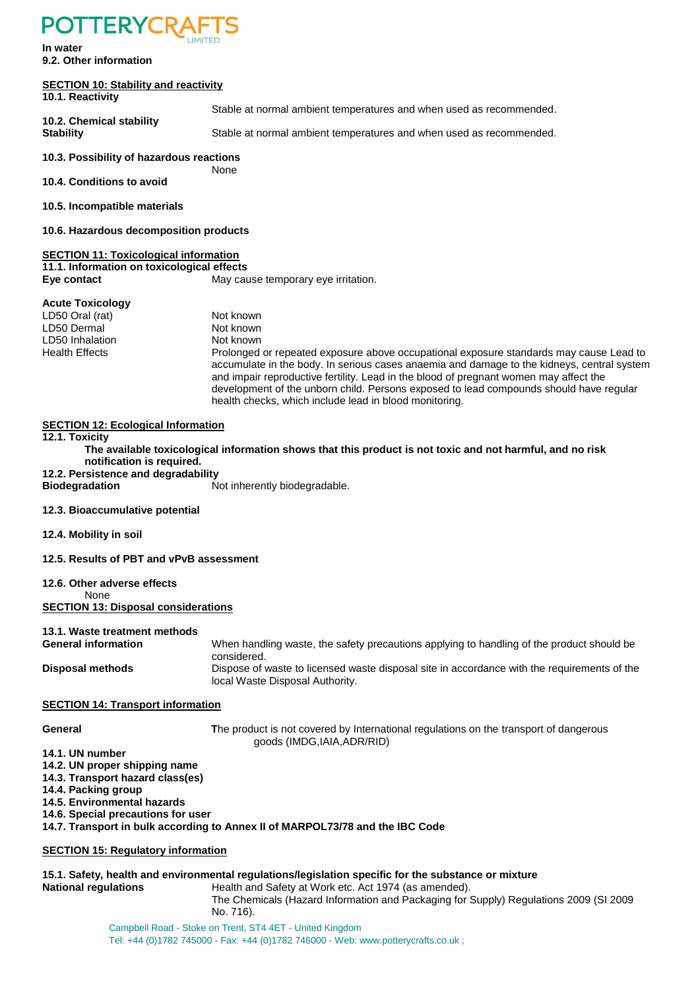# **POTTERYCRA**

**In water 9.2. Other information**

### **SECTION 10: Stability and reactivity 10.1. Reactivity**

Stable at normal ambient temperatures and when used as recommended.

**10.2. Chemical stability**

**Stability** Stable at normal ambient temperatures and when used as recommended.

# **10.3. Possibility of hazardous reactions**

**10.4. Conditions to avoid**

**10.5. Incompatible materials**

**10.6. Hazardous decomposition products**

# **SECTION 11: Toxicological information**

**11.1. Information on toxicological effects Eye contact Exercise Exercise Server Contact** May cause temporary eye irritation.

None

# **Acute Toxicology**

LD50 Oral (rat) Not known LD50 Dermal Not known LD50 Inhalation Not known Health Effects Prolonged or repeated exposure above occupational exposure standards may cause Lead to accumulate in the body. In serious cases anaemia and damage to the kidneys, central system and impair reproductive fertility. Lead in the blood of pregnant women may affect the development of the unborn child. Persons exposed to lead compounds should have regular

# **SECTION 12: Ecological Information**

**12.1. Toxicity**

**The available toxicological information shows that this product is not toxic and not harmful, and no risk notification is required.**

health checks, which include lead in blood monitoring.

**12.2. Persistence and degradability**

**Biodegradation** Not inherently biodegradable.

**12.3. Bioaccumulative potential**

**12.4. Mobility in soil**

**12.5. Results of PBT and vPvB assessment**

# **12.6. Other adverse effects**

None **SECTION 13: Disposal considerations**

# **13.1. Waste treatment methods**

**General information** When handling waste, the safety precautions applying to handling of the product should be considered. **Disposal methods** Dispose of waste to licensed waste disposal site in accordance with the requirements of the local Waste Disposal Authority.

# **SECTION 14: Transport information**

**General T**he product is not covered by International regulations on the transport of dangerous goods (IMDG,IAIA,ADR/RID)

- **14.1. UN number**
- **14.2. UN proper shipping name**
- **14.3. Transport hazard class(es)**
- **14.4. Packing group**
- **14.5. Environmental hazards**
- **14.6. Special precautions for user**

# **14.7. Transport in bulk according to Annex II of MARPOL73/78 and the IBC Code**

# **SECTION 15: Regulatory information**

#### **15.1. Safety, health and environmental regulations/legislation specific for the substance or mixture National regulations Health and Safety at Work etc. Act 1974 (as amended).**

The Chemicals (Hazard Information and Packaging for Supply) Regulations 2009 (SI 2009

No. 716).

# Campbell Road - Stoke on Trent, ST4 4ET - United Kingdom Tel: +44 (0)1782 745000 - Fax: +44 (0)1782 746000 - Web: www.potterycrafts.co.uk ;